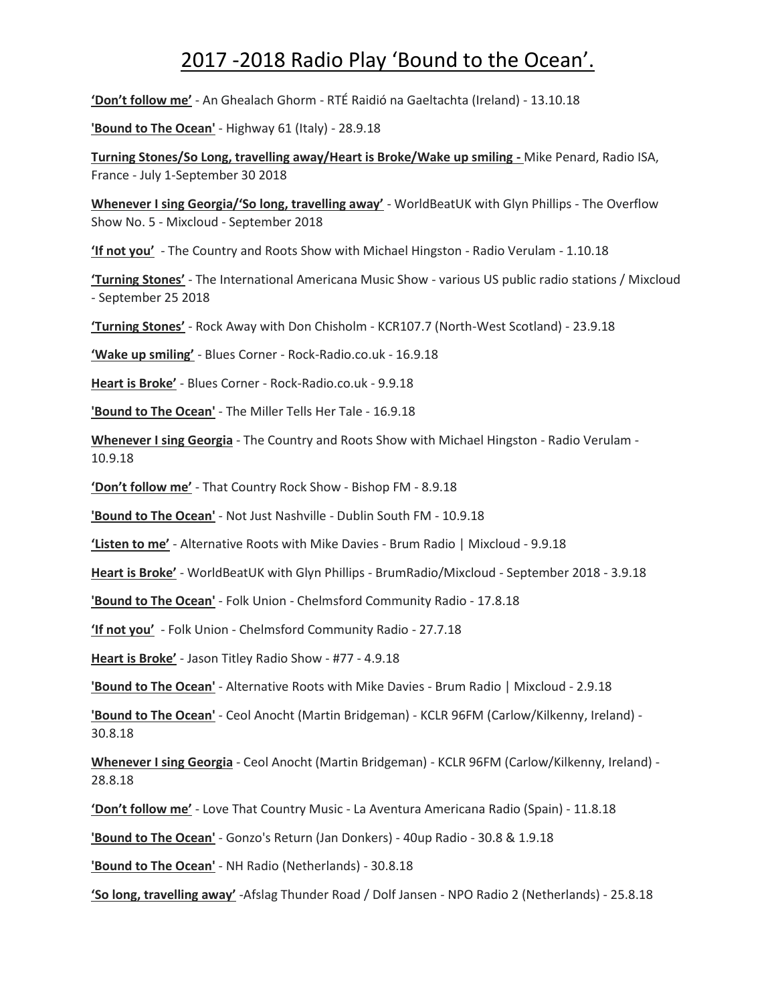## 2017 -2018 Radio Play 'Bound to the Ocean'.

**'Don't follow me'** - An Ghealach Ghorm - RTÉ Raidió na Gaeltachta (Ireland) - 13.10.18

**'Bound to The Ocean'** - Highway 61 (Italy) - 28.9.18

**Turning Stones/So Long, travelling away/Heart is Broke/Wake up smiling -** Mike Penard, Radio ISA, France - July 1-September 30 2018

**Whenever I sing Georgia/'So long, travelling away'** - WorldBeatUK with Glyn Phillips - The Overflow Show No. 5 - Mixcloud - September 2018

**'If not you'** - The Country and Roots Show with Michael Hingston - Radio Verulam - 1.10.18

**'Turning Stones'** - The International Americana Music Show - various US public radio stations / Mixcloud - September 25 2018

**'Turning Stones'** - Rock Away with Don Chisholm - KCR107.7 (North-West Scotland) - 23.9.18

**'Wake up smiling'** - Blues Corner - Rock-Radio.co.uk - 16.9.18

**Heart is Broke'** - Blues Corner - Rock-Radio.co.uk - 9.9.18

**'Bound to The Ocean'** - The Miller Tells Her Tale - 16.9.18

**Whenever I sing Georgia** - The Country and Roots Show with Michael Hingston - Radio Verulam - 10.9.18

**'Don't follow me'** - That Country Rock Show - Bishop FM - 8.9.18

**'Bound to The Ocean'** - Not Just Nashville - Dublin South FM - 10.9.18

**'Listen to me'** - Alternative Roots with Mike Davies - Brum Radio | Mixcloud - 9.9.18

**Heart is Broke'** - WorldBeatUK with Glyn Phillips - BrumRadio/Mixcloud - September 2018 - 3.9.18

**'Bound to The Ocean'** - Folk Union - Chelmsford Community Radio - 17.8.18

**'If not you'** - Folk Union - Chelmsford Community Radio - 27.7.18

**Heart is Broke'** - Jason Titley Radio Show - #77 - 4.9.18

**'Bound to The Ocean'** - Alternative Roots with Mike Davies - Brum Radio | Mixcloud - 2.9.18

**'Bound to The Ocean'** - Ceol Anocht (Martin Bridgeman) - KCLR 96FM (Carlow/Kilkenny, Ireland) - 30.8.18

**Whenever I sing Georgia** - Ceol Anocht (Martin Bridgeman) - KCLR 96FM (Carlow/Kilkenny, Ireland) - 28.8.18

**'Don't follow me'** - Love That Country Music - La Aventura Americana Radio (Spain) - 11.8.18

**'Bound to The Ocean'** - Gonzo's Return (Jan Donkers) - 40up Radio - 30.8 & 1.9.18

**'Bound to The Ocean'** - NH Radio (Netherlands) - 30.8.18

**'So long, travelling away'** -Afslag Thunder Road / Dolf Jansen - NPO Radio 2 (Netherlands) - 25.8.18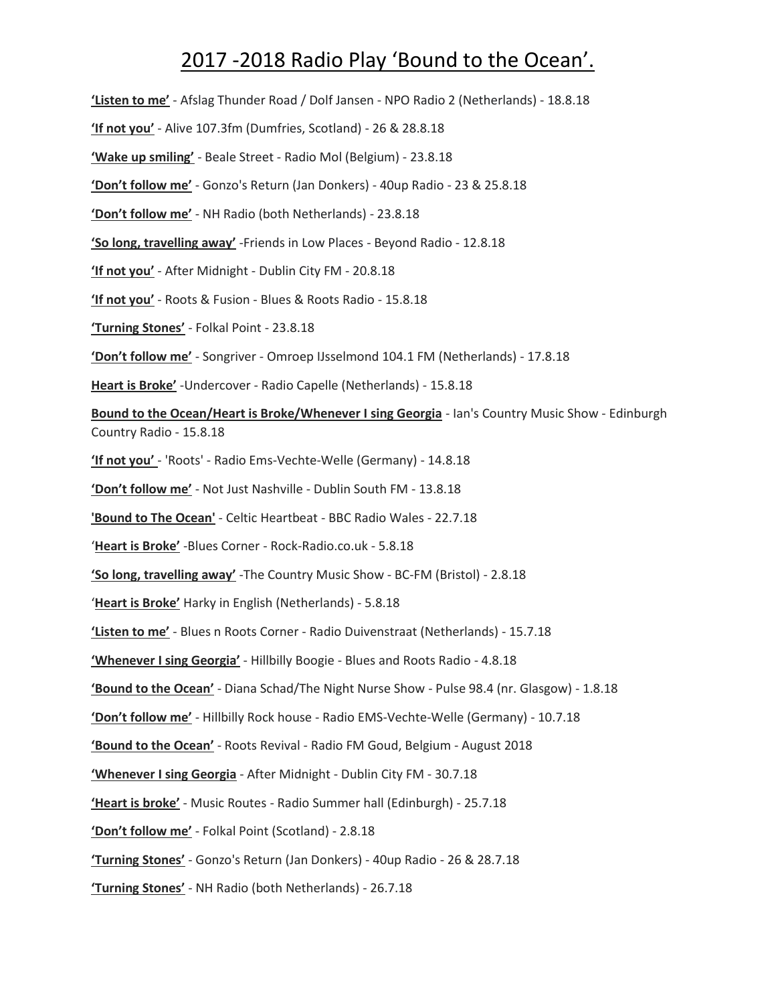## 2017 -2018 Radio Play 'Bound to the Ocean'.

**'Listen to me'** - Afslag Thunder Road / Dolf Jansen - NPO Radio 2 (Netherlands) - 18.8.18 **'If not you'** - Alive 107.3fm (Dumfries, Scotland) - 26 & 28.8.18 **'Wake up smiling'** - Beale Street - Radio Mol (Belgium) - 23.8.18 **'Don't follow me'** - Gonzo's Return (Jan Donkers) - 40up Radio - 23 & 25.8.18 **'Don't follow me'** - NH Radio (both Netherlands) - 23.8.18 **'So long, travelling away'** -Friends in Low Places - Beyond Radio - 12.8.18 **'If not you'** - After Midnight - Dublin City FM - 20.8.18 **'If not you'** - Roots & Fusion - Blues & Roots Radio - 15.8.18 **'Turning Stones'** - Folkal Point - 23.8.18 **'Don't follow me'** - Songriver - Omroep IJsselmond 104.1 FM (Netherlands) - 17.8.18 **Heart is Broke'** -Undercover - Radio Capelle (Netherlands) - 15.8.18 **Bound to the Ocean/Heart is Broke/Whenever I sing Georgia** - Ian's Country Music Show - Edinburgh Country Radio - 15.8.18 **'If not you'** - 'Roots' - Radio Ems-Vechte-Welle (Germany) - 14.8.18 **'Don't follow me'** - Not Just Nashville - Dublin South FM - 13.8.18 **'Bound to The Ocean'** - Celtic Heartbeat - BBC Radio Wales - 22.7.18 '**Heart is Broke'** -Blues Corner - Rock-Radio.co.uk - 5.8.18 **'So long, travelling away'** -The Country Music Show - BC-FM (Bristol) - 2.8.18 '**Heart is Broke'** Harky in English (Netherlands) - 5.8.18 **'Listen to me'** - Blues n Roots Corner - Radio Duivenstraat (Netherlands) - 15.7.18 **'Whenever I sing Georgia'** - Hillbilly Boogie - Blues and Roots Radio - 4.8.18 **'Bound to the Ocean'** - Diana Schad/The Night Nurse Show - Pulse 98.4 (nr. Glasgow) - 1.8.18 **'Don't follow me'** - Hillbilly Rock house - Radio EMS-Vechte-Welle (Germany) - 10.7.18 **'Bound to the Ocean'** - Roots Revival - Radio FM Goud, Belgium - August 2018 **'Whenever I sing Georgia** - After Midnight - Dublin City FM - 30.7.18 **'Heart is broke'** - Music Routes - Radio Summer hall (Edinburgh) - 25.7.18 **'Don't follow me'** - Folkal Point (Scotland) - 2.8.18 **'Turning Stones'** - Gonzo's Return (Jan Donkers) - 40up Radio - 26 & 28.7.18 **'Turning Stones'** - NH Radio (both Netherlands) - 26.7.18